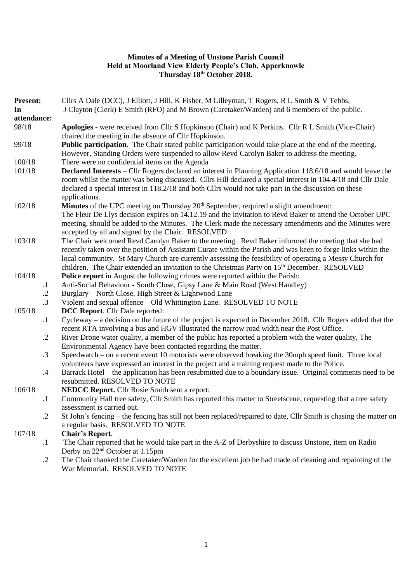### **Minutes of a Meeting of Unstone Parish Council Held at Moorland View Elderly People's Club, Apperknowle Thursday 18th October 2018.**

| <b>Present:</b><br>In<br>attendance: |            | Cllrs A Dale (DCC), J Elliott, J Hill, K Fisher, M Lilleyman, T Rogers, R L Smith & V Tebbs,<br>J Clayton (Clerk) E Smith (RFO) and M Brown (Caretaker/Warden) and 6 members of the public.                                                                                                                                                                                                                                                |
|--------------------------------------|------------|--------------------------------------------------------------------------------------------------------------------------------------------------------------------------------------------------------------------------------------------------------------------------------------------------------------------------------------------------------------------------------------------------------------------------------------------|
| 98/18                                |            | Apologies - were received from Cllr S Hopkinson (Chair) and K Perkins. Cllr R L Smith (Vice-Chair)<br>chaired the meeting in the absence of Cllr Hopkinson.                                                                                                                                                                                                                                                                                |
| 99/18                                |            | Public participation. The Chair stated public participation would take place at the end of the meeting.<br>However, Standing Orders were suspended to allow Revd Carolyn Baker to address the meeting.                                                                                                                                                                                                                                     |
| 100/18                               |            | There were no confidential items on the Agenda                                                                                                                                                                                                                                                                                                                                                                                             |
| 101/18                               |            | Declared Interests – Cllr Rogers declared an interest in Planning Application 118.6/18 and would leave the<br>room whilst the matter was being discussed. Cllrs Hill declared a special interest in 104.4/18 and Cllr Dale<br>declared a special interest in 118.2/18 and both Cllrs would not take part in the discussion on these<br>applications.                                                                                       |
| 102/18                               |            | Minutes of the UPC meeting on Thursday 20 <sup>th</sup> September, required a slight amendment:                                                                                                                                                                                                                                                                                                                                            |
|                                      |            | The Fleur De Llys decision expires on 14.12.19 and the invitation to Revd Baker to attend the October UPC<br>meeting, should be added to the Minutes. The Clerk made the necessary amendments and the Minutes were<br>accepted by all and signed by the Chair. RESOLVED                                                                                                                                                                    |
| 103/18                               |            | The Chair welcomed Revd Carolyn Baker to the meeting. Revd Baker informed the meeting that she had<br>recently taken over the position of Assistant Curate within the Parish and was keen to forge links within the<br>local community. St Mary Church are currently assessing the feasibility of operating a Messy Church for<br>children. The Chair extended an invitation to the Christmas Party on 15 <sup>th</sup> December. RESOLVED |
| 104/18                               |            | Police report in August the following crimes were reported within the Parish:                                                                                                                                                                                                                                                                                                                                                              |
|                                      | $\cdot$    | Anti-Social Behaviour - South Close, Gipsy Lane & Main Road (West Handley)                                                                                                                                                                                                                                                                                                                                                                 |
|                                      | $\cdot$    | Burglary – North Close, High Street & Lightwood Lane                                                                                                                                                                                                                                                                                                                                                                                       |
|                                      | $\cdot$ 3  | Violent and sexual offence - Old Whittington Lane. RESOLVED TO NOTE                                                                                                                                                                                                                                                                                                                                                                        |
| 105/18                               |            | <b>DCC Report.</b> Cllr Dale reported:                                                                                                                                                                                                                                                                                                                                                                                                     |
|                                      | $\cdot$    | Cycleway – a decision on the future of the project is expected in December 2018. Cllr Rogers added that the<br>recent RTA involving a bus and HGV illustrated the narrow road width near the Post Office.                                                                                                                                                                                                                                  |
|                                      | $\cdot$ .2 | River Drone water quality, a member of the public has reported a problem with the water quality, The<br>Environmental Agency have been contacted regarding the matter.                                                                                                                                                                                                                                                                     |
|                                      | $\cdot$ 3  | Speedwatch – on a recent event 10 motorists were observed breaking the 30mph speed limit. Three local<br>volunteers have expressed an interest in the project and a training request made to the Police.                                                                                                                                                                                                                                   |
|                                      | $\cdot$    | Barrack Hotel – the application has been resubmitted due to a boundary issue. Original comments need to be<br>resubmitted. RESOLVED TO NOTE                                                                                                                                                                                                                                                                                                |
| 106/18                               |            | <b>NEDCC Report.</b> Cllr Rosie Smith sent a report:                                                                                                                                                                                                                                                                                                                                                                                       |
|                                      | $\cdot$    | Community Hall tree safety, Cllr Smith has reported this matter to Streetscene, requesting that a tree safety<br>assessment is carried out.                                                                                                                                                                                                                                                                                                |
|                                      | $\cdot$ .2 | St John's fencing – the fencing has still not been replaced/repaired to date, Cllr Smith is chasing the matter on<br>a regular basis. RESOLVED TO NOTE                                                                                                                                                                                                                                                                                     |
| 107/18                               |            | <b>Chair's Report.</b>                                                                                                                                                                                                                                                                                                                                                                                                                     |
|                                      | $\cdot$    | The Chair reported that he would take part in the A-Z of Derbyshire to discuss Unstone, item on Radio<br>Derby on 22 <sup>nd</sup> October at 1.15pm                                                                                                                                                                                                                                                                                       |
|                                      |            |                                                                                                                                                                                                                                                                                                                                                                                                                                            |

.2 The Chair thanked the Caretaker/Warden for the excellent job he had made of cleaning and repainting of the War Memorial. RESOLVED TO NOTE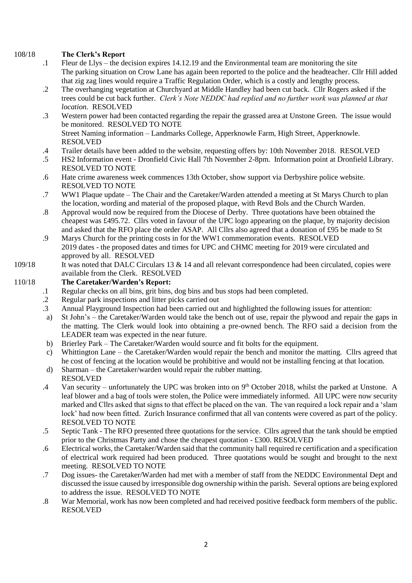### 108/18 **The Clerk's Report**

- .1 Fleur de Llys – the decision expires 14.12.19 and the Environmental team are monitoring the site The parking situation on Crow Lane has again been reported to the police and the headteacher. Cllr Hill added that zig zag lines would require a Traffic Regulation Order, which is a costly and lengthy process.
- .2 The overhanging vegetation at Churchyard at Middle Handley had been cut back. Cllr Rogers asked if the trees could be cut back further. *Clerk's Note NEDDC had replied and no further work was planned at that location.* RESOLVED
- .3 Western power had been contacted regarding the repair the grassed area at Unstone Green. The issue would be monitored. RESOLVED TO NOTE

Street Naming information – Landmarks College, Apperknowle Farm, High Street, Apperknowle. RESOLVED

- .4 Trailer details have been added to the website, requesting offers by: 10th November 2018. RESOLVED
- .5 HS2 Information event - Dronfield Civic Hall 7th November 2-8pm. Information point at Dronfield Library. RESOLVED TO NOTE
- .6 Hate crime awareness week commences 13th October, show support via Derbyshire police website. RESOLVED TO NOTE
- .7 WW1 Plaque update – The Chair and the Caretaker/Warden attended a meeting at St Marys Church to plan the location, wording and material of the proposed plaque, with Revd Bols and the Church Warden.
- .8 Approval would now be required from the Diocese of Derby. Three quotations have been obtained the cheapest was £495.72. Cllrs voted in favour of the UPC logo appearing on the plaque, by majority decision and asked that the RFO place the order ASAP. All Cllrs also agreed that a donation of £95 be made to St
- .9 Marys Church for the printing costs in for the WW1 commemoration events. RESOLVED 2019 dates - the proposed dates and times for UPC and CHMC meeting for 2019 were circulated and approved by all. RESOLVED
- 109/18 It was noted that DALC Circulars 13 & 14 and all relevant correspondence had been circulated, copies were available from the Clerk. RESOLVED

#### 110/18 **The Caretaker/Warden's Report:**

- .1 Regular checks on all bins, grit bins, dog bins and bus stops had been completed.
- .2 Regular park inspections and litter picks carried out
- .3 Annual Playground Inspection had been carried out and highlighted the following issues for attention:
- a) St John's – the Caretaker/Warden would take the bench out of use, repair the plywood and repair the gaps in the matting. The Clerk would look into obtaining a pre-owned bench. The RFO said a decision from the LEADER team was expected in the near future.
- b) Brierley Park – The Caretaker/Warden would source and fit bolts for the equipment.
- c) Whittington Lane – the Caretaker/Warden would repair the bench and monitor the matting. Cllrs agreed that he cost of fencing at the location would be prohibitive and would not be installing fencing at that location.
- d) Sharman – the Caretaker/warden would repair the rubber matting. RESOLVED
- .4 Van security – unfortunately the UPC was broken into on  $9<sup>th</sup>$  October 2018, whilst the parked at Unstone. A leaf blower and a bag of tools were stolen, the Police were immediately informed. All UPC were now security marked and Cllrs asked that signs to that effect be placed on the van. The van required a lock repair and a 'slam lock' had now been fitted. Zurich Insurance confirmed that all van contents were covered as part of the policy. RESOLVED TO NOTE
- .5 Septic Tank - The RFO presented three quotations for the service. Cllrs agreed that the tank should be emptied prior to the Christmas Party and chose the cheapest quotation - £300. RESOLVED
- .6 Electrical works, the Caretaker/Warden said that the community hall required re certification and a specification of electrical work required had been produced. Three quotations would be sought and brought to the next meeting. RESOLVED TO NOTE
- .7 Dog issues- the Caretaker/Warden had met with a member of staff from the NEDDC Environmental Dept and discussed the issue caused by irresponsible dog ownership within the parish. Several options are being explored to address the issue. RESOLVED TO NOTE
- .8 War Memorial, work has now been completed and had received positive feedback form members of the public. RESOLVED